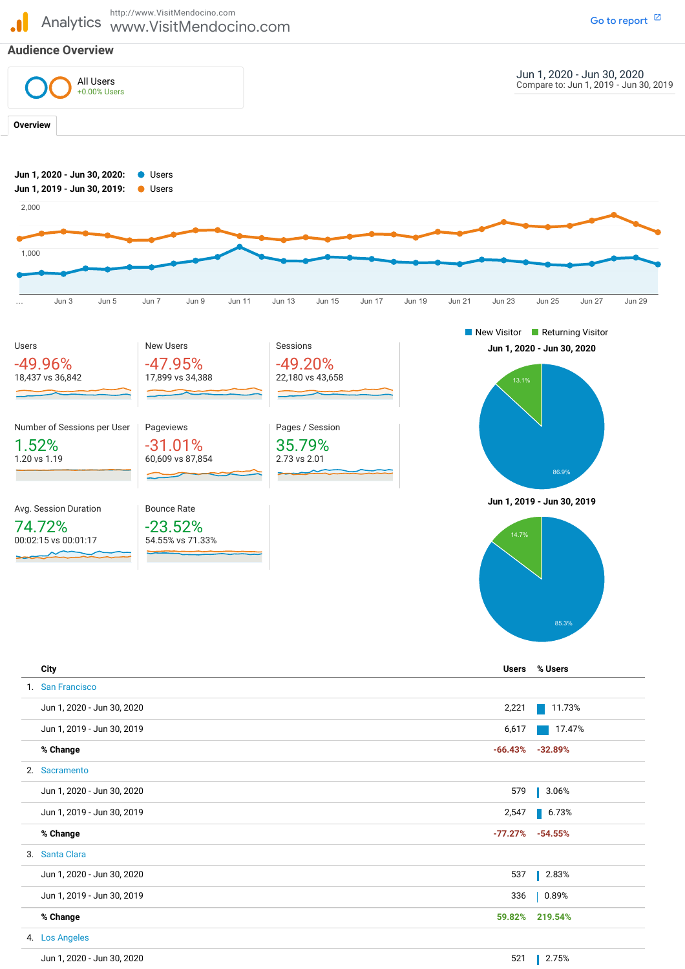

|    | <b>City</b>                | <b>Users</b> | % Users              |
|----|----------------------------|--------------|----------------------|
|    | 1. San Francisco           |              |                      |
|    | Jun 1, 2020 - Jun 30, 2020 | 2,221        | 11.73%               |
|    | Jun 1, 2019 - Jun 30, 2019 | 6,617        | 17.47%               |
|    | % Change                   |              | $-66.43\% -32.89\%$  |
|    | 2. Sacramento              |              |                      |
|    | Jun 1, 2020 - Jun 30, 2020 | 579          | 3.06%                |
|    | Jun 1, 2019 - Jun 30, 2019 | 2,547        | $\blacksquare$ 6.73% |
|    | % Change                   | $-77.27%$    | $-54.55%$            |
|    | 3. Santa Clara             |              |                      |
|    | Jun 1, 2020 - Jun 30, 2020 | 537          | 2.83%                |
|    | Jun 1, 2019 - Jun 30, 2019 | 336          | 0.89%                |
|    | % Change                   | 59.82%       | 219.54%              |
| 4. | <b>Los Angeles</b>         |              |                      |
|    | Jun 1, 2020 - Jun 30, 2020 | 521          | 2.75%                |